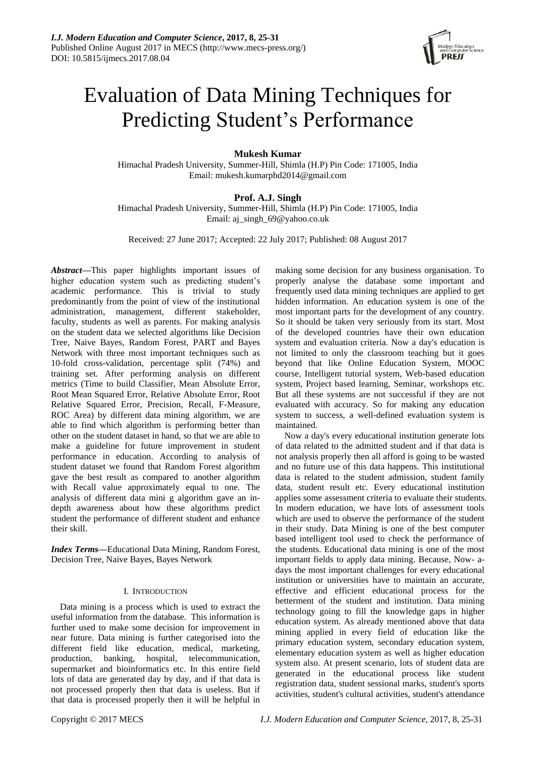

# Evaluation of Data Mining Techniques for Predicting Student's Performance

**Mukesh Kumar**

Himachal Pradesh University, Summer-Hill, Shimla (H.P) Pin Code: 171005, India Email: mukesh.kumarphd2014@gmail.com

## **Prof. A.J. Singh**

Himachal Pradesh University, Summer-Hill, Shimla (H.P) Pin Code: 171005, India Email: aj\_singh\_69@yahoo.co.uk

Received: 27 June 2017; Accepted: 22 July 2017; Published: 08 August 2017

*Abstract***—**This paper highlights important issues of higher education system such as predicting student's academic performance. This is trivial to study predominantly from the point of view of the institutional administration, management, different stakeholder, faculty, students as well as parents. For making analysis on the student data we selected algorithms like Decision Tree, Naive Bayes, Random Forest, PART and Bayes Network with three most important techniques such as 10-fold cross-validation, percentage split (74%) and training set. After performing analysis on different metrics (Time to build Classifier, Mean Absolute Error, Root Mean Squared Error, Relative Absolute Error, Root Relative Squared Error, Precision, Recall, F-Measure, ROC Area) by different data mining algorithm, we are able to find which algorithm is performing better than other on the student dataset in hand, so that we are able to make a guideline for future improvement in student performance in education. According to analysis of student dataset we found that Random Forest algorithm gave the best result as compared to another algorithm with Recall value approximately equal to one. The analysis of different data mini g algorithm gave an indepth awareness about how these algorithms predict student the performance of different student and enhance their skill.

*Index Terms***—**Educational Data Mining, Random Forest, Decision Tree, Naive Bayes, Bayes Network

## I. INTRODUCTION

Data mining is a process which is used to extract the useful information from the database. This information is further used to make some decision for improvement in near future. Data mining is further categorised into the different field like education, medical, marketing, production, banking, hospital, telecommunication, supermarket and bioinformatics etc. In this entire field lots of data are generated day by day, and if that data is not processed properly then that data is useless. But if that data is processed properly then it will be helpful in

making some decision for any business organisation. To properly analyse the database some important and frequently used data mining techniques are applied to get hidden information. An education system is one of the most important parts for the development of any country. So it should be taken very seriously from its start. Most of the developed countries have their own education system and evaluation criteria. Now a day's education is not limited to only the classroom teaching but it goes beyond that like Online Education System, MOOC course, Intelligent tutorial system, Web-based education system, Project based learning, Seminar, workshops etc. But all these systems are not successful if they are not evaluated with accuracy. So for making any education system to success, a well-defined evaluation system is maintained.

Now a day's every educational institution generate lots of data related to the admitted student and if that data is not analysis properly then all afford is going to be wasted and no future use of this data happens. This institutional data is related to the student admission, student family data, student result etc. Every educational institution applies some assessment criteria to evaluate their students. In modern education, we have lots of assessment tools which are used to observe the performance of the student in their study. Data Mining is one of the best computer based intelligent tool used to check the performance of the students. Educational data mining is one of the most important fields to apply data mining. Because, Now- adays the most important challenges for every educational institution or universities have to maintain an accurate, effective and efficient educational process for the betterment of the student and institution. Data mining technology going to fill the knowledge gaps in higher education system. As already mentioned above that data mining applied in every field of education like the primary education system, secondary education system, elementary education system as well as higher education system also. At present scenario, lots of student data are generated in the educational process like student registration data, student sessional marks, student's sports activities, student's cultural activities, student's attendance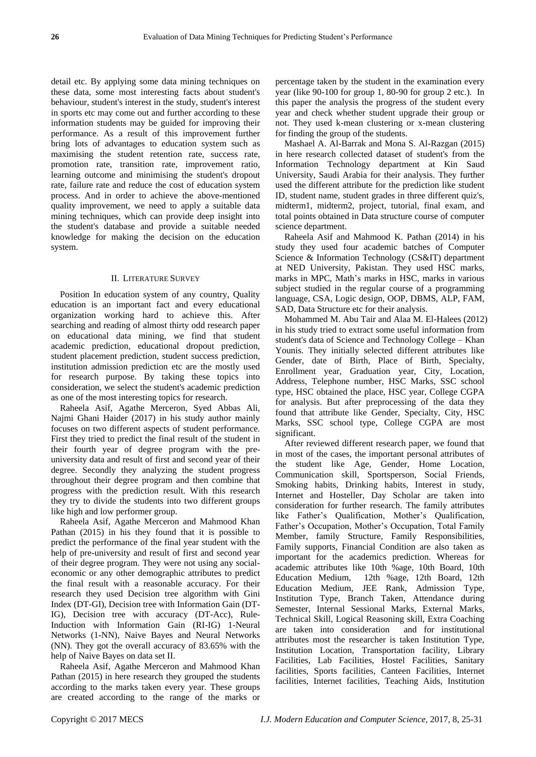detail etc. By applying some data mining techniques on these data, some most interesting facts about student's behaviour, student's interest in the study, student's interest in sports etc may come out and further according to these information students may be guided for improving their performance. As a result of this improvement further bring lots of advantages to education system such as maximising the student retention rate, success rate, promotion rate, transition rate, improvement ratio, learning outcome and minimising the student's dropout rate, failure rate and reduce the cost of education system process. And in order to achieve the above-mentioned quality improvement, we need to apply a suitable data mining techniques, which can provide deep insight into the student's database and provide a suitable needed knowledge for making the decision on the education system.

## II. LITERATURE SURVEY

Position In education system of any country, Quality education is an important fact and every educational organization working hard to achieve this. After searching and reading of almost thirty odd research paper on educational data mining, we find that student academic prediction, educational dropout prediction, student placement prediction, student success prediction, institution admission prediction etc are the mostly used for research purpose. By taking these topics into consideration, we select the student's academic prediction as one of the most interesting topics for research.

Raheela Asif, Agathe Merceron, Syed Abbas Ali, Najmi Ghani Haider (2017) in his study author mainly focuses on two different aspects of student performance. First they tried to predict the final result of the student in their fourth year of degree program with the preuniversity data and result of first and second year of their degree. Secondly they analyzing the student progress throughout their degree program and then combine that progress with the prediction result. With this research they try to divide the students into two different groups like high and low performer group.

Raheela Asif, Agathe Merceron and Mahmood Khan Pathan (2015) in his they found that it is possible to predict the performance of the final year student with the help of pre-university and result of first and second year of their degree program. They were not using any socialeconomic or any other demographic attributes to predict the final result with a reasonable accuracy. For their research they used Decision tree algorithm with Gini Index (DT-GI), Decision tree with Information Gain (DT-IG), Decision tree with accuracy (DT-Acc), Rule-Induction with Information Gain (RI-IG) 1-Neural Networks (1-NN), Naive Bayes and Neural Networks (NN). They got the overall accuracy of 83.65% with the help of Naive Bayes on data set II.

Raheela Asif, Agathe Merceron and Mahmood Khan Pathan (2015) in here research they grouped the students according to the marks taken every year. These groups are created according to the range of the marks or percentage taken by the student in the examination every year (like 90-100 for group 1, 80-90 for group 2 etc.). In this paper the analysis the progress of the student every year and check whether student upgrade their group or not. They used k-mean clustering or x-mean clustering for finding the group of the students.

Mashael A. Al-Barrak and Mona S. Al-Razgan (2015) in here research collected dataset of student's from the Information Technology department at Kin Saud University, Saudi Arabia for their analysis. They further used the different attribute for the prediction like student ID, student name, student grades in three different quiz's, midterm1, midterm2, project, tutorial, final exam, and total points obtained in Data structure course of computer science department.

Raheela Asif and Mahmood K. Pathan (2014) in his study they used four academic batches of Computer Science & Information Technology (CS&IT) department at NED University, Pakistan. They used HSC marks, marks in MPC, Math's marks in HSC, marks in various subject studied in the regular course of a programming language, CSA, Logic design, OOP, DBMS, ALP, FAM, SAD, Data Structure etc for their analysis.

Mohammed M. Abu Tair and Alaa M. El-Halees (2012) in his study tried to extract some useful information from student's data of Science and Technology College – Khan Younis. They initially selected different attributes like Gender, date of Birth, Place of Birth, Specialty, Enrollment year, Graduation year, City, Location, Address, Telephone number, HSC Marks, SSC school type, HSC obtained the place, HSC year, College CGPA for analysis. But after preprocessing of the data they found that attribute like Gender, Specialty, City, HSC Marks, SSC school type, College CGPA are most significant.

After reviewed different research paper, we found that in most of the cases, the important personal attributes of the student like Age, Gender, Home Location, Communication skill, Sportsperson, Social Friends, Smoking habits, Drinking habits, Interest in study, Internet and Hosteller, Day Scholar are taken into consideration for further research. The family attributes like Father's Qualification, Mother's Qualification, Father's Occupation, Mother's Occupation, Total Family Member, family Structure, Family Responsibilities, Family supports, Financial Condition are also taken as important for the academics prediction. Whereas for academic attributes like 10th %age, 10th Board, 10th Education Medium, 12th %age, 12th Board, 12th Education Medium, JEE Rank, Admission Type, Institution Type, Branch Taken, Attendance during Semester, Internal Sessional Marks, External Marks, Technical Skill, Logical Reasoning skill, Extra Coaching are taken into consideration and for institutional attributes most the researcher is taken Institution Type, Institution Location, Transportation facility, Library Facilities, Lab Facilities, Hostel Facilities, Sanitary facilities, Sports facilities, Canteen Facilities, Internet facilities, Internet facilities, Teaching Aids, Institution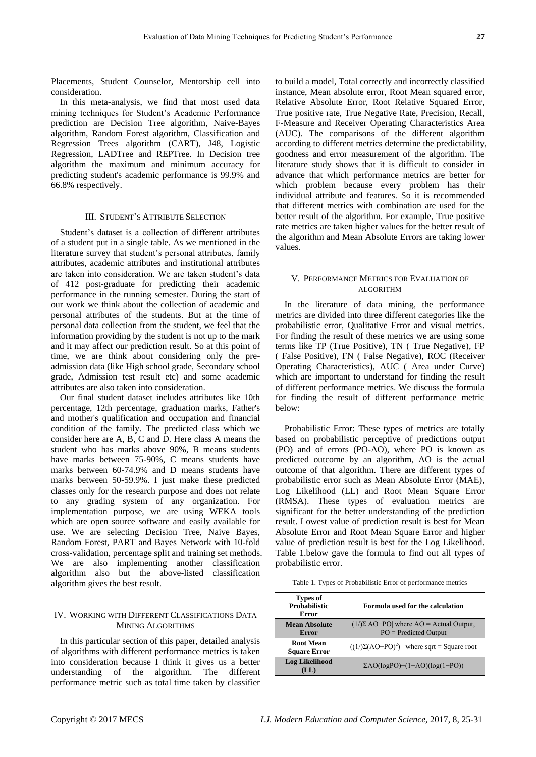Placements, Student Counselor, Mentorship cell into consideration.

In this meta-analysis, we find that most used data mining techniques for Student's Academic Performance prediction are Decision Tree algorithm, Naive-Bayes algorithm, Random Forest algorithm, Classification and Regression Trees algorithm (CART), J48, Logistic Regression, LADTree and REPTree. In Decision tree algorithm the maximum and minimum accuracy for predicting student's academic performance is 99.9% and 66.8% respectively.

#### III. STUDENT'S ATTRIBUTE SELECTION

Student's dataset is a collection of different attributes of a student put in a single table. As we mentioned in the literature survey that student's personal attributes, family attributes, academic attributes and institutional attributes are taken into consideration. We are taken student's data of 412 post-graduate for predicting their academic performance in the running semester. During the start of our work we think about the collection of academic and personal attributes of the students. But at the time of personal data collection from the student, we feel that the information providing by the student is not up to the mark and it may affect our prediction result. So at this point of time, we are think about considering only the preadmission data (like High school grade, Secondary school grade, Admission test result etc) and some academic attributes are also taken into consideration.

Our final student dataset includes attributes like 10th percentage, 12th percentage, graduation marks, Father's and mother's qualification and occupation and financial condition of the family. The predicted class which we consider here are A, B, C and D. Here class A means the student who has marks above 90%, B means students have marks between 75-90%, C means students have marks between 60-74.9% and D means students have marks between 50-59.9%. I just make these predicted classes only for the research purpose and does not relate to any grading system of any organization. For implementation purpose, we are using WEKA tools which are open source software and easily available for use. We are selecting Decision Tree, Naive Bayes, Random Forest, PART and Bayes Network with 10-fold cross-validation, percentage split and training set methods. We are also implementing another classification algorithm also but the above-listed classification algorithm gives the best result.

### IV. WORKING WITH DIFFERENT CLASSIFICATIONS DATA MINING ALGORITHMS

In this particular section of this paper, detailed analysis of algorithms with different performance metrics is taken into consideration because I think it gives us a better understanding of the algorithm. The different performance metric such as total time taken by classifier

to build a model, Total correctly and incorrectly classified instance, Mean absolute error, Root Mean squared error, Relative Absolute Error, Root Relative Squared Error, True positive rate, True Negative Rate, Precision, Recall, F-Measure and Receiver Operating Characteristics Area (AUC). The comparisons of the different algorithm according to different metrics determine the predictability, goodness and error measurement of the algorithm. The literature study shows that it is difficult to consider in advance that which performance metrics are better for which problem because every problem has their individual attribute and features. So it is recommended that different metrics with combination are used for the better result of the algorithm. For example, True positive rate metrics are taken higher values for the better result of the algorithm and Mean Absolute Errors are taking lower values.

#### V. PERFORMANCE METRICS FOR EVALUATION OF ALGORITHM

In the literature of data mining, the performance metrics are divided into three different categories like the probabilistic error, Qualitative Error and visual metrics. For finding the result of these metrics we are using some terms like TP (True Positive), TN ( True Negative), FP ( False Positive), FN ( False Negative), ROC (Receiver Operating Characteristics), AUC ( Area under Curve) which are important to understand for finding the result of different performance metrics. We discuss the formula for finding the result of different performance metric below:

Probabilistic Error: These types of metrics are totally based on probabilistic perceptive of predictions output (PO) and of errors (PO-AO), where PO is known as predicted outcome by an algorithm, AO is the actual outcome of that algorithm. There are different types of probabilistic error such as Mean Absolute Error (MAE), Log Likelihood (LL) and Root Mean Square Error (RMSA). These types of evaluation metrics are significant for the better understanding of the prediction result. Lowest value of prediction result is best for Mean Absolute Error and Root Mean Square Error and higher value of prediction result is best for the Log Likelihood. Table 1.below gave the formula to find out all types of probabilistic error.

Table 1. Types of Probabilistic Error of performance metrics

| Types of<br><b>Probabilistic</b><br>Error | Formula used for the calculation                                        |
|-------------------------------------------|-------------------------------------------------------------------------|
| <b>Mean Absolute</b><br>Error             | $(1/\Sigma AO-PO $ where AO = Actual Output,<br>$PO = Predicted Output$ |
| <b>Root Mean</b><br><b>Square Error</b>   | $((1/\Sigma(AO-PO)^2)$ where sqrt = Square root                         |
| <b>Log Likelihood</b><br>LL)              | $\Sigma AO(logPO)+(1-AO)(log(1-PO))$                                    |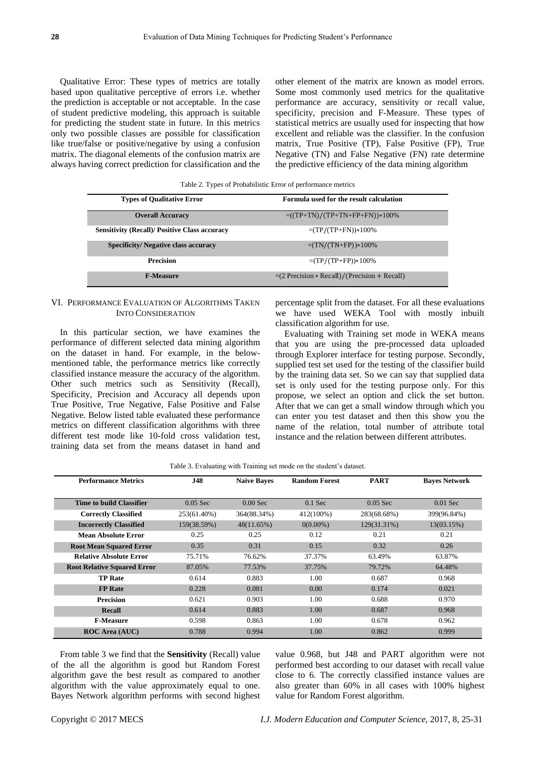Qualitative Error: These types of metrics are totally based upon qualitative perceptive of errors i.e. whether the prediction is acceptable or not acceptable. In the case of student predictive modeling, this approach is suitable for predicting the student state in future. In this metrics only two possible classes are possible for classification like true/false or positive/negative by using a confusion matrix. The diagonal elements of the confusion matrix are always having correct prediction for classification and the

other element of the matrix are known as model errors. Some most commonly used metrics for the qualitative performance are accuracy, sensitivity or recall value, specificity, precision and F-Measure. These types of statistical metrics are usually used for inspecting that how excellent and reliable was the classifier. In the confusion matrix, True Positive (TP), False Positive (FP), True Negative (TN) and False Negative (FN) rate determine the predictive efficiency of the data mining algorithm

Table 2. Types of Probabilistic Error of performance metrics

| <b>Types of Qualitative Error</b>                    | Formula used for the result calculation                |
|------------------------------------------------------|--------------------------------------------------------|
| <b>Overall Accuracy</b>                              | $= ((TP+TN)/(TP+TN+FP+FN)) * 100\%$                    |
| <b>Sensitivity (Recall)/ Positive Class accuracy</b> | $=(TP/(TP+FN))*100\%$                                  |
| <b>Specificity/Negative class accuracy</b>           | $=(TN/(TN+FP))*100\%$                                  |
| <b>Precision</b>                                     | $=(TP/(TP+FP))*100\%$                                  |
| <b>F-Measure</b>                                     | $=(2 \text{ Precision} * Recall)/(Precision + Recall)$ |

## VI. PERFORMANCE EVALUATION OF ALGORITHMS TAKEN INTO CONSIDERATION

In this particular section, we have examines the performance of different selected data mining algorithm on the dataset in hand. For example, in the belowmentioned table, the performance metrics like correctly classified instance measure the accuracy of the algorithm. Other such metrics such as Sensitivity (Recall), Specificity, Precision and Accuracy all depends upon True Positive, True Negative, False Positive and False Negative. Below listed table evaluated these performance metrics on different classification algorithms with three different test mode like 10-fold cross validation test, training data set from the means dataset in hand and percentage split from the dataset. For all these evaluations we have used WEKA Tool with mostly inbuilt classification algorithm for use.

Evaluating with Training set mode in WEKA means that you are using the pre-processed data uploaded through Explorer interface for testing purpose. Secondly, supplied test set used for the testing of the classifier build by the training data set. So we can say that supplied data set is only used for the testing purpose only. For this propose, we select an option and click the set button. After that we can get a small window through which you can enter you test dataset and then this show you the name of the relation, total number of attribute total instance and the relation between different attributes.

|  | Table 3. Evaluating with Training set mode on the student's dataset. |  |
|--|----------------------------------------------------------------------|--|
|  |                                                                      |  |

| <b>Performance Metrics</b>         | <b>J48</b>  | <b>Naive Bayes</b> | <b>Random Forest</b> | <b>PART</b> | <b>Baves Network</b> |
|------------------------------------|-------------|--------------------|----------------------|-------------|----------------------|
|                                    |             |                    |                      |             |                      |
| Time to build Classifier           | $0.05$ Sec  | $0.00$ Sec         | $0.1$ Sec            | $0.05$ Sec  | $0.01$ Sec           |
| <b>Correctly Classified</b>        | 253(61.40%) | 364(88.34%)        | 412(100%)            | 283(68.68%) | 399(96.84%)          |
| <b>Incorrectly Classified</b>      | 159(38.59%) | 48(11.65%)         | $0(0.00\%)$          | 129(31.31%) | 13(03.15%)           |
| <b>Mean Absolute Error</b>         | 0.25        | 0.25               | 0.12                 | 0.21        | 0.21                 |
| <b>Root Mean Squared Error</b>     | 0.35        | 0.31               | 0.15                 | 0.32        | 0.26                 |
| <b>Relative Absolute Error</b>     | 75.71%      | 76.62%             | 37.37%               | 63.49%      | 63.87%               |
| <b>Root Relative Squared Error</b> | 87.05%      | 77.53%             | 37.75%               | 79.72%      | 64.48%               |
| <b>TP Rate</b>                     | 0.614       | 0.883              | 1.00                 | 0.687       | 0.968                |
| <b>FP</b> Rate                     | 0.228       | 0.081              | 0.00                 | 0.174       | 0.021                |
| <b>Precision</b>                   | 0.621       | 0.903              | 1.00                 | 0.688       | 0.970                |
| <b>Recall</b>                      | 0.614       | 0.883              | 1.00                 | 0.687       | 0.968                |
| <b>F-Measure</b>                   | 0.598       | 0.863              | 1.00                 | 0.678       | 0.962                |
| <b>ROC Area (AUC)</b>              | 0.788       | 0.994              | 1.00                 | 0.862       | 0.999                |

From table 3 we find that the **Sensitivity** (Recall) value of the all the algorithm is good but Random Forest algorithm gave the best result as compared to another algorithm with the value approximately equal to one. Bayes Network algorithm performs with second highest value 0.968, but J48 and PART algorithm were not performed best according to our dataset with recall value close to 6. The correctly classified instance values are also greater than 60% in all cases with 100% highest value for Random Forest algorithm.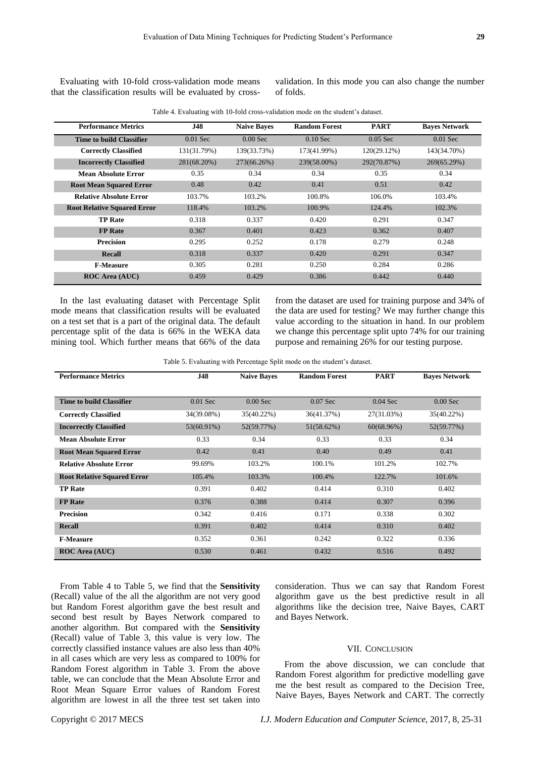Evaluating with 10-fold cross-validation mode means that the classification results will be evaluated by crossvalidation. In this mode you can also change the number of folds.

| Table 4. Evaluating with 10-fold cross-validation mode on the student's dataset. |
|----------------------------------------------------------------------------------|
|----------------------------------------------------------------------------------|

| <b>Performance Metrics</b>         | <b>J48</b>  | <b>Naive Baves</b> | <b>Random Forest</b> | <b>PART</b>    | <b>Baves Network</b> |
|------------------------------------|-------------|--------------------|----------------------|----------------|----------------------|
| Time to build Classifier           | $0.01$ Sec  | $0.00$ Sec         | $0.10$ Sec           | $0.05$ Sec     | $0.01$ Sec           |
| <b>Correctly Classified</b>        | 131(31.79%) | 139(33.73%)        | 173(41.99%)          | $120(29.12\%)$ | 143(34.70%)          |
| <b>Incorrectly Classified</b>      | 281(68.20%) | 273(66.26%)        | 239(58.00%)          | 292(70.87%)    | 269(65.29%)          |
| <b>Mean Absolute Error</b>         | 0.35        | 0.34               | 0.34                 | 0.35           | 0.34                 |
| <b>Root Mean Squared Error</b>     | 0.48        | 0.42               | 0.41                 | 0.51           | 0.42                 |
| <b>Relative Absolute Error</b>     | 103.7%      | 103.2%             | 100.8%               | 106.0%         | 103.4%               |
| <b>Root Relative Squared Error</b> | 118.4%      | 103.2%             | 100.9%               | 124.4%         | 102.3%               |
| <b>TP Rate</b>                     | 0.318       | 0.337              | 0.420                | 0.291          | 0.347                |
| <b>FP</b> Rate                     | 0.367       | 0.401              | 0.423                | 0.362          | 0.407                |
| <b>Precision</b>                   | 0.295       | 0.252              | 0.178                | 0.279          | 0.248                |
| <b>Recall</b>                      | 0.318       | 0.337              | 0.420                | 0.291          | 0.347                |
| <b>F-Measure</b>                   | 0.305       | 0.281              | 0.250                | 0.284          | 0.286                |
| <b>ROC Area (AUC)</b>              | 0.459       | 0.429              | 0.386                | 0.442          | 0.440                |

In the last evaluating dataset with Percentage Split mode means that classification results will be evaluated on a test set that is a part of the original data. The default percentage split of the data is 66% in the WEKA data mining tool. Which further means that 66% of the data from the dataset are used for training purpose and 34% of the data are used for testing? We may further change this value according to the situation in hand. In our problem we change this percentage split upto 74% for our training purpose and remaining 26% for our testing purpose.

Table 5. Evaluating with Percentage Split mode on the student's dataset.

| <b>Performance Metrics</b>         | <b>J48</b> | <b>Naive Baves</b> | <b>Random Forest</b> | <b>PART</b> | <b>Baves Network</b> |
|------------------------------------|------------|--------------------|----------------------|-------------|----------------------|
|                                    |            |                    |                      |             |                      |
| <b>Time to build Classifier</b>    | $0.01$ Sec | $0.00$ Sec         | $0.07$ Sec           | $0.04$ Sec  | $0.00$ Sec           |
| <b>Correctly Classified</b>        | 34(39.08%) | 35(40.22%)         | 36(41.37%)           | 27(31.03%)  | 35(40.22%)           |
| <b>Incorrectly Classified</b>      | 53(60.91%) | 52(59.77%)         | 51(58.62%)           | 60(68.96%)  | 52(59.77%)           |
| <b>Mean Absolute Error</b>         | 0.33       | 0.34               | 0.33                 | 0.33        | 0.34                 |
| <b>Root Mean Squared Error</b>     | 0.42       | 0.41               | 0.40                 | 0.49        | 0.41                 |
| <b>Relative Absolute Error</b>     | 99.69%     | 103.2%             | 100.1%               | 101.2%      | 102.7%               |
| <b>Root Relative Squared Error</b> | 105.4%     | 103.3%             | 100.4%               | 122.7%      | 101.6%               |
| <b>TP Rate</b>                     | 0.391      | 0.402              | 0.414                | 0.310       | 0.402                |
| <b>FP</b> Rate                     | 0.376      | 0.388              | 0.414                | 0.307       | 0.396                |
| <b>Precision</b>                   | 0.342      | 0.416              | 0.171                | 0.338       | 0.302                |
| <b>Recall</b>                      | 0.391      | 0.402              | 0.414                | 0.310       | 0.402                |
| <b>F-Measure</b>                   | 0.352      | 0.361              | 0.242                | 0.322       | 0.336                |
| <b>ROC Area (AUC)</b>              | 0.530      | 0.461              | 0.432                | 0.516       | 0.492                |

From Table 4 to Table 5, we find that the **Sensitivity** (Recall) value of the all the algorithm are not very good but Random Forest algorithm gave the best result and second best result by Bayes Network compared to another algorithm. But compared with the **Sensitivity** (Recall) value of Table 3, this value is very low. The correctly classified instance values are also less than 40% in all cases which are very less as compared to 100% for Random Forest algorithm in Table 3. From the above table, we can conclude that the Mean Absolute Error and Root Mean Square Error values of Random Forest algorithm are lowest in all the three test set taken into

consideration. Thus we can say that Random Forest algorithm gave us the best predictive result in all algorithms like the decision tree, Naive Bayes, CART and Bayes Network.

#### VII. CONCLUSION

From the above discussion, we can conclude that Random Forest algorithm for predictive modelling gave me the best result as compared to the Decision Tree, Naive Bayes, Bayes Network and CART. The correctly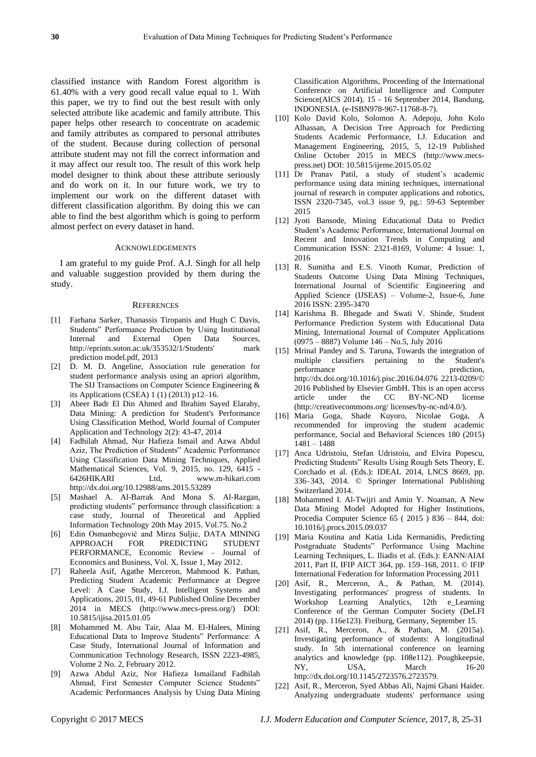classified instance with Random Forest algorithm is 61.40% with a very good recall value equal to 1. With this paper, we try to find out the best result with only selected attribute like academic and family attribute. This paper helps other research to concentrate on academic and family attributes as compared to personal attributes of the student. Because during collection of personal attribute student may not fill the correct information and it may affect our result too. The result of this work help model designer to think about these attribute seriously and do work on it. In our future work, we try to implement our work on the different dataset with different classification algorithm. By doing this we can able to find the best algorithm which is going to perform almost perfect on every dataset in hand.

#### ACKNOWLEDGEMENTS

I am grateful to my guide Prof. A.J. Singh for all help and valuable suggestion provided by them during the study.

#### **REFERENCES**

- [1] Farhana Sarker, Thanassis Tiropanis and Hugh C Davis, Students" Performance Prediction by Using Institutional Internal and External Open Data Sources, http://eprints.soton.ac.uk/353532/1/Students' mark prediction model.pdf, 2013
- [2] D. M. D. Angeline, Association rule generation for student performance analysis using an apriori algorithm, The SIJ Transactions on Computer Science Engineering & its Applications (CSEA) 1 (1) (2013) p12–16.
- [3] Abeer Badr El Din Ahmed and Ibrahim Sayed Elaraby, Data Mining: A prediction for Student's Performance Using Classification Method, World Journal of Computer Application and Technology 2(2): 43-47, 2014
- [4] Fadhilah Ahmad, Nur Hafieza Ismail and Azwa Abdul Aziz, The Prediction of Students" Academic Performance Using Classification Data Mining Techniques, Applied Mathematical Sciences, Vol. 9, 2015, no. 129, 6415 - 6426HIKARI Ltd, www.m-hikari.com http://dx.doi.org/10.12988/ams.2015.53289
- [5] Mashael A. Al-Barrak And Mona S. Al-Razgan, predicting students" performance through classification: a case study, Journal of Theoretical and Applied Information Technology 20th May 2015. Vol.75. No.2
- [6] Edin Osmanbegović and Mirza Suljic, DATA MINING APPROACH FOR PREDICTING STUDENT PERFORMANCE, Economic Review – Journal of Economics and Business, Vol. X, Issue 1, May 2012.
- [7] Raheela Asif, Agathe Merceron, Mahmood K. Pathan, Predicting Student Academic Performance at Degree Level: A Case Study, I.J. Intelligent Systems and Applications, 2015, 01, 49-61 Published Online December 2014 in MECS (http://www.mecs-press.org/) DOI: 10.5815/ijisa.2015.01.05
- [8] Mohammed M. Abu Tair, Alaa M. El-Halees, Mining Educational Data to Improve Students" Performance: A Case Study, International Journal of Information and Communication Technology Research, ISSN 2223-4985, Volume 2 No. 2, February 2012.
- [9] Azwa Abdul Aziz, Nor Hafieza Ismailand Fadhilah Ahmad, First Semester Computer Science Students" Academic Performances Analysis by Using Data Mining

Classification Algorithms, Proceeding of the International Conference on Artificial Intelligence and Computer Science(AICS 2014), 15 - 16 September 2014, Bandung, INDONESIA. (e-ISBN978-967-11768-8-7).

- [10] Kolo David Kolo, Solomon A. Adepoju, John Kolo Alhassan, A Decision Tree Approach for Predicting Students Academic Performance, I.J. Education and Management Engineering, 2015, 5, 12-19 Published Online October 2015 in MECS (http://www.mecspress.net) DOI: 10.5815/ijeme.2015.05.02
- [11] Dr Pranav Patil, a study of student's academic performance using data mining techniques, international journal of research in computer applications and robotics, ISSN 2320-7345, vol.3 issue 9, pg.: 59-63 September 2015
- [12] Jyoti Bansode, Mining Educational Data to Predict Student's Academic Performance, International Journal on Recent and Innovation Trends in Computing and Communication ISSN: 2321-8169, Volume: 4 Issue: 1, 2016
- [13] R. Sumitha and E.S. Vinoth Kumar, Prediction of Students Outcome Using Data Mining Techniques, International Journal of Scientific Engineering and Applied Science (IJSEAS) – Volume-2, Issue-6, June 2016 ISSN: 2395-3470
- [14] Karishma B. Bhegade and Swati V. Shinde, Student Performance Prediction System with Educational Data Mining, International Journal of Computer Applications (0975 – 8887) Volume 146 – No.5, July 2016
- [15] Mrinal Pandey and S. Taruna, Towards the integration of multiple classifiers pertaining to the Student's performance prediction, http://dx.doi.org/10.1016/j.pisc.2016.04.076 2213-0209/© 2016 Published by Elsevier GmbH. This is an open access article under the CC BY-NC-ND license (http://creativecommons.org/ licenses/by-nc-nd/4.0/).
- [16] Maria Goga, Shade Kuyoro, Nicolae Goga, A recommended for improving the student academic performance, Social and Behavioral Sciences 180 (2015) 1481 – 1488
- [17] Anca Udristoiu, Stefan Udristoiu, and Elvira Popescu, Predicting Students" Results Using Rough Sets Theory, E. Corchado et al. (Eds.): IDEAL 2014, LNCS 8669, pp. 336–343, 2014. © Springer International Publishing Switzerland 2014.
- [18] Mohammed I. Al-Twijri and Amin Y. Noaman, A New Data Mining Model Adopted for Higher Institutions, Procedia Computer Science 65 ( 2015 ) 836 – 844, doi: 10.1016/j.procs.2015.09.037
- [19] Maria Koutina and Katia Lida Kermanidis, Predicting Postgraduate Students" Performance Using Machine Learning Techniques, L. Iliadis et al. (Eds.): EANN/AIAI 2011, Part II, IFIP AICT 364, pp. 159–168, 2011. © IFIP International Federation for Information Processing 2011
- [20] Asif, R., Merceron, A., & Pathan, M. (2014). Investigating performances' progress of students. In Workshop Learning Analytics, 12th e\_Learning Conference of the German Computer Society (DeLFI 2014) (pp. 116e123). Freiburg, Germany, September 15.
- [21] Asif, R., Merceron, A., & Pathan, M. (2015a). Investigating performance of students: A longitudinal study. In 5th international conference on learning analytics and knowledge (pp. 108e112). Poughkeepsie, NY, USA, March 16-20 [http://dx.doi.org/10.1145/2723576.2723579.](http://dx.doi.org/10.1145/2723576.2723579)
- [22] Asif, R., Merceron, Syed Abbas Ali, Najmi Ghani Haider. Analyzing undergraduate students' performance using